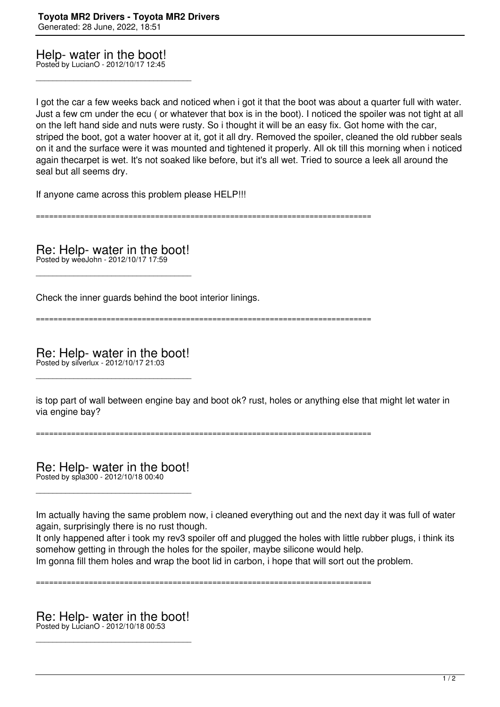Help- water in the boot!

Posted by LucianO - 2012/10/17 12:45

\_\_\_\_\_\_\_\_\_\_\_\_\_\_\_\_\_\_\_\_\_\_\_\_\_\_\_\_\_\_\_\_\_\_\_\_\_

I got the car a few weeks back and noticed when i got it that the boot was about a quarter full with water. Just a few cm under the ecu ( or whatever that box is in the boot). I noticed the spoiler was not tight at all on the left hand side and nuts were rusty. So i thought it will be an easy fix. Got home with the car, striped the boot, got a water hoover at it, got it all dry. Removed the spoiler, cleaned the old rubber seals on it and the surface were it was mounted and tightened it properly. All ok till this morning when i noticed again thecarpet is wet. It's not soaked like before, but it's all wet. Tried to source a leek all around the seal but all seems dry.

If anyone came across this problem please HELP!!!

============================================================================

Re: Help- water in the boot! Posted by weeJohn - 2012/10/17 17:59

\_\_\_\_\_\_\_\_\_\_\_\_\_\_\_\_\_\_\_\_\_\_\_\_\_\_\_\_\_\_\_\_\_\_\_\_\_

Check the inner guards behind the boot interior linings.

============================================================================

Re: Help- water in the boot! Posted by silverlux - 2012/10/17 21:03

\_\_\_\_\_\_\_\_\_\_\_\_\_\_\_\_\_\_\_\_\_\_\_\_\_\_\_\_\_\_\_\_\_\_\_\_\_

is top part of wall between engine bay and boot ok? rust, holes or anything else that might let water in via engine bay?

============================================================================

Re: Help- water in the boot! Posted by spla300 - 2012/10/18 00:40

\_\_\_\_\_\_\_\_\_\_\_\_\_\_\_\_\_\_\_\_\_\_\_\_\_\_\_\_\_\_\_\_\_\_\_\_\_

Im actually having the same problem now, i cleaned everything out and the next day it was full of water again, surprisingly there is no rust though.

It only happened after i took my rev3 spoiler off and plugged the holes with little rubber plugs, i think its somehow getting in through the holes for the spoiler, maybe silicone would help. Im gonna fill them holes and wrap the boot lid in carbon, i hope that will sort out the problem.

============================================================================

Re: Help- water in the boot! Posted by LucianO - 2012/10/18 00:53

\_\_\_\_\_\_\_\_\_\_\_\_\_\_\_\_\_\_\_\_\_\_\_\_\_\_\_\_\_\_\_\_\_\_\_\_\_